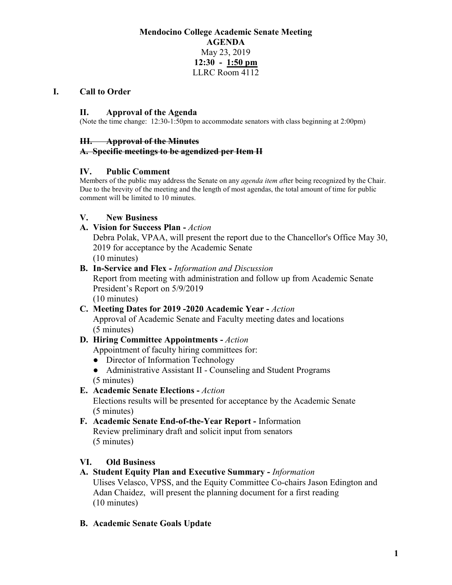### **Mendocino College Academic Senate Meeting AGENDA** May 23, 2019 **12:30 - 1:50 pm** LLRC Room 4112

#### **I. Call to Order**

#### **II. Approval of the Agenda**

(Note the time change: 12:30-1:50pm to accommodate senators with class beginning at 2:00pm)

#### **III. Approval of the Minutes**

#### **A. Specific meetings to be agendized per Item II**

#### **IV. Public Comment**

Members of the public may address the Senate on any *agenda item a*fter being recognized by the Chair. Due to the brevity of the meeting and the length of most agendas, the total amount of time for public comment will be limited to 10 minutes.

#### **V. New Business**

#### **A. Vision for Success Plan -** *Action*

Debra Polak, VPAA, will present the report due to the Chancellor's Office May 30, 2019 for acceptance by the Academic Senate (10 minutes)

#### **B. In-Service and Flex -** *Information and Discussion*

Report from meeting with administration and follow up from Academic Senate President's Report on 5/9/2019

(10 minutes)

**C. Meeting Dates for 2019 -2020 Academic Year -** *Action* Approval of Academic Senate and Faculty meeting dates and locations (5 minutes)

# **D. Hiring Committee Appointments -** *Action*

Appointment of faculty hiring committees for:

- Director of Information Technology
- Administrative Assistant II Counseling and Student Programs (5 minutes)

### **E. Academic Senate Elections -** *Action*

Elections results will be presented for acceptance by the Academic Senate (5 minutes)

**F. Academic Senate End-of-the-Year Report -** Information Review preliminary draft and solicit input from senators (5 minutes)

### **VI. Old Business**

### **A. Student Equity Plan and Executive Summary -** *Information*

Ulises Velasco, VPSS, and the Equity Committee Co-chairs Jason Edington and Adan Chaidez, will present the planning document for a first reading (10 minutes)

### **B. Academic Senate Goals Update**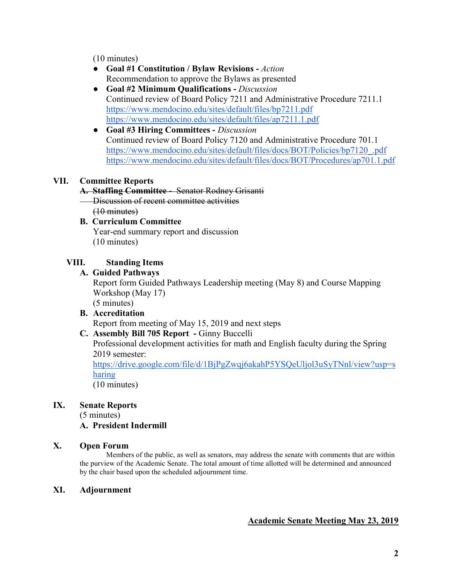(10 minutes)

- **Goal #1 Constitution / Bylaw Revisions -** *Action*  Recommendation to approve the Bylaws as presented
- **Goal #2 Minimum Qualifications -** *Discussion* Continued review of Board Policy 7211 and Administrative Procedure 7211.1 <https://www.mendocino.edu/sites/default/files/bp7211.pdf> <https://www.mendocino.edu/sites/default/files/ap7211.1.pdf>
- **Goal #3 Hiring Committees -** *Discussion*  Continued review of Board Policy 7120 and Administrative Procedure 701.1 [https://www.mendocino.edu/sites/default/files/docs/BOT/Policies/bp7120\\_.pdf](https://www.mendocino.edu/sites/default/files/docs/BOT/Policies/bp7120_.pdf) <https://www.mendocino.edu/sites/default/files/docs/BOT/Procedures/ap701.1.pdf>

### **VII. Committee Reports**

#### **A. Staffing Committee -** Senator Rodney Grisanti

Discussion of recent committee activities (10 minutes)

#### **B. Curriculum Committee**  Year-end summary report and discussion (10 minutes)

### **VIII. Standing Items**

### **A. Guided Pathways**

Report form Guided Pathways Leadership meeting (May 8) and Course Mapping Workshop (May 17)

(5 minutes)

## **B. Accreditation**

Report from meeting of May 15, 2019 and next steps

### **C. Assembly Bill 705 Report -** Ginny Buccelli

Professional development activities for math and English faculty during the Spring 2019 semester:

[https://drive.google.com/file/d/1BjPgZwqj6akahP5YSQeUljol3uSyTNnl/view?usp=s](https://drive.google.com/file/d/1BjPgZwqj6akahP5YSQeUljol3uSyTNnl/view?usp=sharing) [haring](https://drive.google.com/file/d/1BjPgZwqj6akahP5YSQeUljol3uSyTNnl/view?usp=sharing)

(10 minutes)

### **IX. Senate Reports**

(5 minutes)

### **A. President Indermill**

#### **X. Open Forum**

Members of the public, as well as senators, may address the senate with comments that are within the purview of the Academic Senate. The total amount of time allotted will be determined and announced by the chair based upon the scheduled adjournment time.

#### **XI. Adjournment**

### **Academic Senate Meeting May 23, 2019**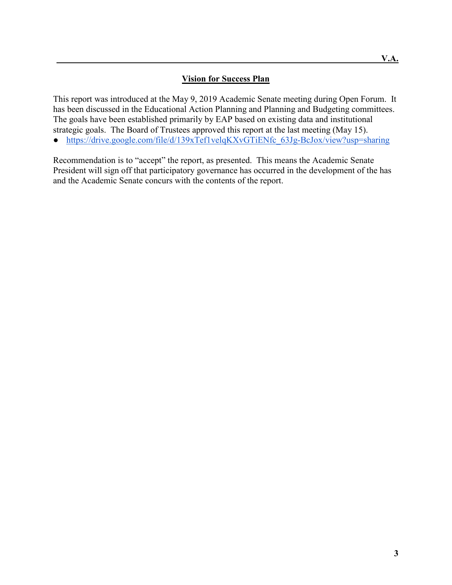### **Vision for Success Plan**

This report was introduced at the May 9, 2019 Academic Senate meeting during Open Forum. It has been discussed in the Educational Action Planning and Planning and Budgeting committees. The goals have been established primarily by EAP based on existing data and institutional strategic goals. The Board of Trustees approved this report at the last meeting (May 15).

• https://drive.google.com/file/d/139xTef1velqKXvGTiENfc 63Jg-BcJox/view?usp=sharing

Recommendation is to "accept" the report, as presented. This means the Academic Senate President will sign off that participatory governance has occurred in the development of the has and the Academic Senate concurs with the contents of the report.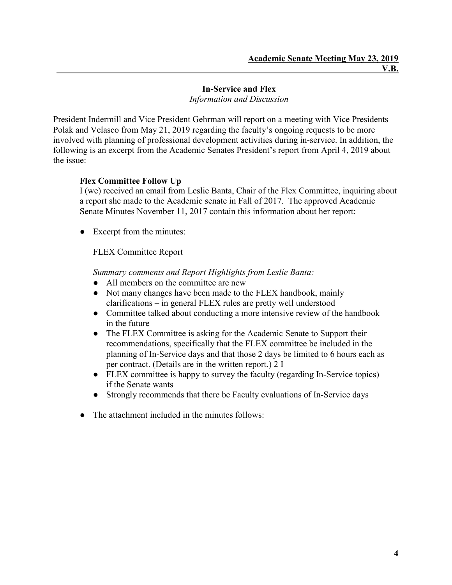#### **In-Service and Flex** *Information and Discussion*

President Indermill and Vice President Gehrman will report on a meeting with Vice Presidents Polak and Velasco from May 21, 2019 regarding the faculty's ongoing requests to be more involved with planning of professional development activities during in-service. In addition, the following is an excerpt from the Academic Senates President's report from April 4, 2019 about the issue:

### **Flex Committee Follow Up**

I (we) received an email from Leslie Banta, Chair of the Flex Committee, inquiring about a report she made to the Academic senate in Fall of 2017. The approved Academic Senate Minutes November 11, 2017 contain this information about her report:

• Excerpt from the minutes:

### FLEX Committee Report

*Summary comments and Report Highlights from Leslie Banta:*

- All members on the committee are new
- Not many changes have been made to the FLEX handbook, mainly clarifications – in general FLEX rules are pretty well understood
- Committee talked about conducting a more intensive review of the handbook in the future
- The FLEX Committee is asking for the Academic Senate to Support their recommendations, specifically that the FLEX committee be included in the planning of In-Service days and that those 2 days be limited to 6 hours each as per contract. (Details are in the written report.) 2 I
- FLEX committee is happy to survey the faculty (regarding In-Service topics) if the Senate wants
- Strongly recommends that there be Faculty evaluations of In-Service days
- The attachment included in the minutes follows: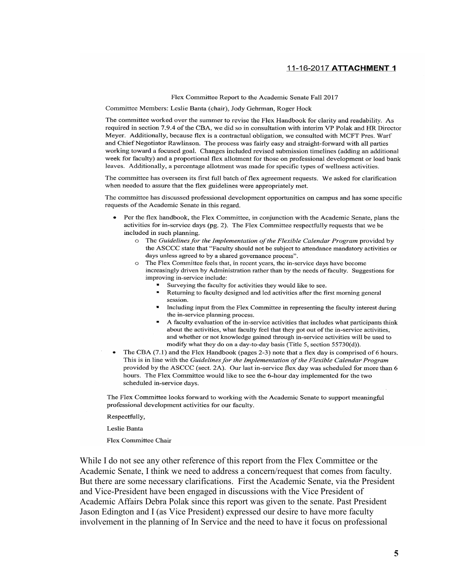#### 11-16-2017 ATTACHMENT 1

Flex Committee Report to the Academic Senate Fall 2017

Committee Members: Leslie Banta (chair), Jody Gehrman, Roger Hock

The committee worked over the summer to revise the Flex Handbook for clarity and readability. As required in section 7.9.4 of the CBA, we did so in consultation with interim VP Polak and HR Director Meyer. Additionally, because flex is a contractual obligation, we consulted with MCFT Pres. Warf and Chief Negotiator Rawlinson. The process was fairly easy and straight-forward with all parties working toward a focused goal. Changes included revised submission timelines (adding an additional week for faculty) and a proportional flex allotment for those on professional development or load bank leaves. Additionally, a percentage allotment was made for specific types of wellness activities.

The committee has overseen its first full batch of flex agreement requests. We asked for clarification when needed to assure that the flex guidelines were appropriately met.

The committee has discussed professional development opportunities on campus and has some specific requests of the Academic Senate in this regard.

- Per the flex handbook, the Flex Committee, in conjunction with the Academic Senate, plans the activities for in-service days (pg. 2). The Flex Committee respectfully requests that we be included in such planning.
	- o The Guidelines for the Implementation of the Flexible Calendar Program provided by the ASCCC state that "Faculty should not be subject to attendance mandatory activities or days unless agreed to by a shared governance process".
	- o The Flex Committee feels that, in recent years, the in-service days have become increasingly driven by Administration rather than by the needs of faculty. Suggestions for improving in-service include:
		- Surveying the faculty for activities they would like to see.
		- Returning to faculty designed and led activities after the first morning general session.
		- " Including input from the Flex Committee in representing the faculty interest during the in-service planning process.
		- A faculty evaluation of the in-service activities that includes what participants think about the activities, what faculty feel that they got out of the in-service activities, and whether or not knowledge gained through in-service activities will be used to modify what they do on a day-to-day basis (Title 5, section 55730(d)).
- The CBA (7.1) and the Flex Handbook (pages 2-3) note that a flex day is comprised of 6 hours. This is in line with the Guidelines for the Implementation of the Flexible Calendar Program provided by the ASCCC (sect. 2A). Our last in-service flex day was scheduled for more than 6 hours. The Flex Committee would like to see the 6-hour day implemented for the two scheduled in-service days.

The Flex Committee looks forward to working with the Academic Senate to support meaningful professional development activities for our faculty.

Respectfully,

Leslie Banta

Flex Committee Chair

While I do not see any other reference of this report from the Flex Committee or the Academic Senate, I think we need to address a concern/request that comes from faculty. But there are some necessary clarifications. First the Academic Senate, via the President and Vice-President have been engaged in discussions with the Vice President of Academic Affairs Debra Polak since this report was given to the senate. Past President Jason Edington and I (as Vice President) expressed our desire to have more faculty involvement in the planning of In Service and the need to have it focus on professional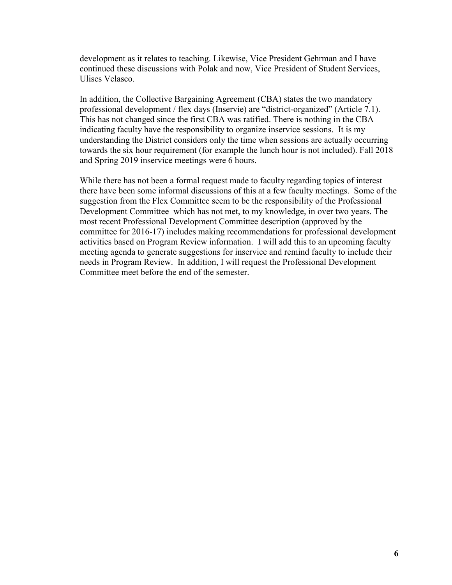development as it relates to teaching. Likewise, Vice President Gehrman and I have continued these discussions with Polak and now, Vice President of Student Services, Ulises Velasco.

In addition, the Collective Bargaining Agreement (CBA) states the two mandatory professional development / flex days (Inservie) are "district-organized" (Article 7.1). This has not changed since the first CBA was ratified. There is nothing in the CBA indicating faculty have the responsibility to organize inservice sessions. It is my understanding the District considers only the time when sessions are actually occurring towards the six hour requirement (for example the lunch hour is not included). Fall 2018 and Spring 2019 inservice meetings were 6 hours.

While there has not been a formal request made to faculty regarding topics of interest there have been some informal discussions of this at a few faculty meetings. Some of the suggestion from the Flex Committee seem to be the responsibility of the Professional Development Committee which has not met, to my knowledge, in over two years. The most recent Professional Development Committee description (approved by the committee for 2016-17) includes making recommendations for professional development activities based on Program Review information. I will add this to an upcoming faculty meeting agenda to generate suggestions for inservice and remind faculty to include their needs in Program Review. In addition, I will request the Professional Development Committee meet before the end of the semester.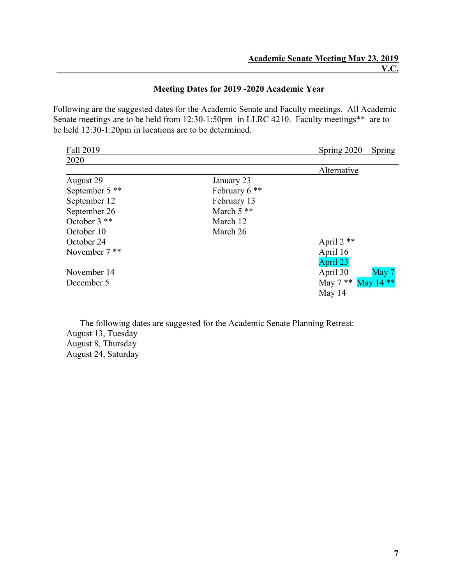### **Meeting Dates for 2019 -2020 Academic Year**

Following are the suggested dates for the Academic Senate and Faculty meetings. All Academic Senate meetings are to be held from 12:30-1:50pm in LLRC 4210. Faculty meetings\*\* are to be held 12:30-1:20pm in locations are to be determined.

| Fall 2019       |               | Spring 2020          | Spring |
|-----------------|---------------|----------------------|--------|
| 2020            |               |                      |        |
|                 |               | Alternative          |        |
| August 29       | January 23    |                      |        |
| September 5 **  | February 6 ** |                      |        |
| September 12    | February 13   |                      |        |
| September 26    | March $5$ **  |                      |        |
| October 3 **    | March 12      |                      |        |
| October 10      | March 26      |                      |        |
| October 24      |               | April 2 **           |        |
| November $7$ ** |               | April 16             |        |
|                 |               | April 23             |        |
| November 14     |               | April 30             | May 7  |
| December 5      |               | May 7 ** May $14$ ** |        |
|                 |               | May 14               |        |

The following dates are suggested for the Academic Senate Planning Retreat: August 13, Tuesday August 8, Thursday August 24, Saturday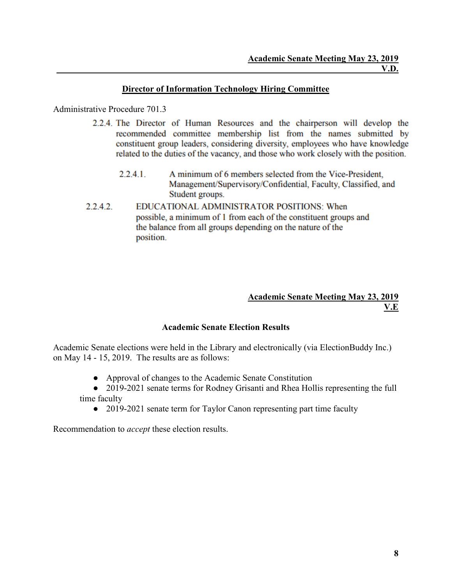### **Director of Information Technology Hiring Committee**

### Administrative Procedure 701.3

- 2.2.4. The Director of Human Resources and the chairperson will develop the recommended committee membership list from the names submitted by constituent group leaders, considering diversity, employees who have knowledge related to the duties of the vacancy, and those who work closely with the position.
	- A minimum of 6 members selected from the Vice-President,  $2.2.4.1$ Management/Supervisory/Confidential, Faculty, Classified, and Student groups.
- $2.2.4.2.$ EDUCATIONAL ADMINISTRATOR POSITIONS: When possible, a minimum of 1 from each of the constituent groups and the balance from all groups depending on the nature of the position.

#### **Academic Senate Meeting May 23, 2019 V.E**

### **Academic Senate Election Results**

Academic Senate elections were held in the Library and electronically (via ElectionBuddy Inc.) on May 14 - 15, 2019. The results are as follows:

● Approval of changes to the Academic Senate Constitution

• 2019-2021 senate terms for Rodney Grisanti and Rhea Hollis representing the full time faculty

• 2019-2021 senate term for Taylor Canon representing part time faculty

Recommendation to *accept* these election results.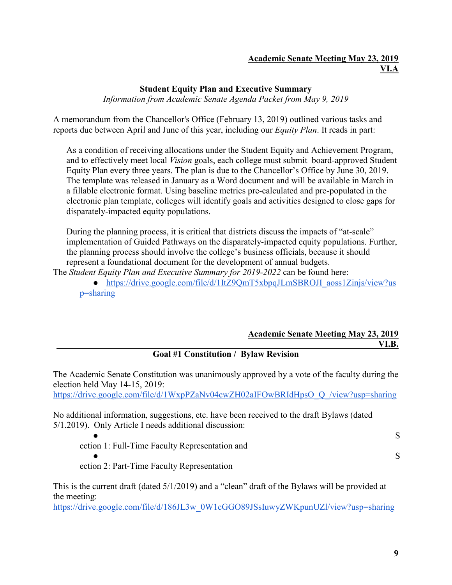### **Academic Senate Meeting May 23, 2019 VI.A**

### **Student Equity Plan and Executive Summary**

*Information from Academic Senate Agenda Packet from May 9, 2019*

A memorandum from the Chancellor's Office (February 13, 2019) outlined various tasks and reports due between April and June of this year, including our *Equity Plan*. It reads in part:

As a condition of receiving allocations under the Student Equity and Achievement Program, and to effectively meet local *Vision* goals, each college must submit board-approved Student Equity Plan every three years. The plan is due to the Chancellor's Office by June 30, 2019. The template was released in January as a Word document and will be available in March in a fillable electronic format. Using baseline metrics pre-calculated and pre-populated in the electronic plan template, colleges will identify goals and activities designed to close gaps for disparately-impacted equity populations.

During the planning process, it is critical that districts discuss the impacts of "at-scale" implementation of Guided Pathways on the disparately-impacted equity populations. Further, the planning process should involve the college's business officials, because it should represent a foundational document for the development of annual budgets.

The *Student Equity Plan and Executive Summary for 2019-2022* can be found here:

• https://drive.google.com/file/d/1ItZ9OmT5xbpqJLmSBROJI\_aoss1Zinjs/view?us [p=sharing](https://drive.google.com/file/d/1ItZ9QmT5xbpqJLmSBROJI_aoss1Zinjs/view?usp=sharing)

### **Academic Senate Meeting May 23, 2019 VI.B.**

### **Goal #1 Constitution / Bylaw Revision**

The Academic Senate Constitution was unanimously approved by a vote of the faculty during the election held May 14-15, 2019:

[https://drive.google.com/file/d/1WxpPZaNv04cwZH02aIFOwBRIdHpsO\\_Q\\_/view?usp=sharing](https://drive.google.com/file/d/1WxpPZaNv04cwZH02aIFOwBRIdHpsO_Q_/view?usp=sharing)

No additional information, suggestions, etc. have been received to the draft Bylaws (dated 5/1.2019). Only Article I needs additional discussion:

 $\bullet$  S ection 1: Full-Time Faculty Representation and

 $\bullet$  S ection 2: Part-Time Faculty Representation

This is the current draft (dated 5/1/2019) and a "clean" draft of the Bylaws will be provided at the meeting:

[https://drive.google.com/file/d/186JL3w\\_0W1cGGO89JSsIuwyZWKpunUZl/view?usp=sharing](https://drive.google.com/file/d/186JL3w_0W1cGGO89JSsIuwyZWKpunUZl/view?usp=sharing)